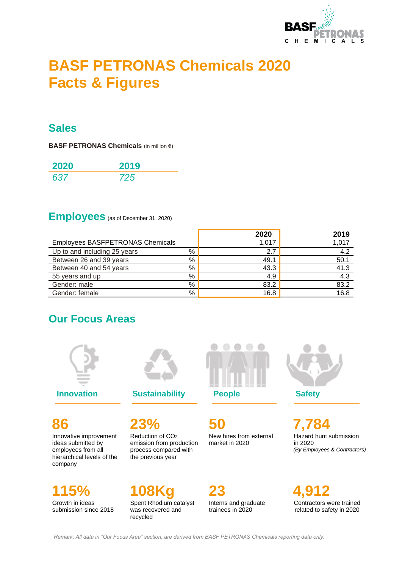

# **BASF PETRONAS Chemicals 2020 Facts & Figures**

#### **Sales**

**BASF PETRONAS Chemicals** (in million €)

| 2020 | 2019 |
|------|------|
| 637  | 725  |

## **Employees** (as of December 31, 2020)

|                                         |   | 2020  | 2019  |
|-----------------------------------------|---|-------|-------|
| <b>Employees BASFPETRONAS Chemicals</b> |   | 1,017 | 1,017 |
| Up to and including 25 years            | % | 2.7   | 4.2   |
| Between 26 and 39 years                 | % | 49.1  | 50.1  |
| Between 40 and 54 years                 | % | 43.3  | 41.3  |
| 55 years and up                         | % | 4.9   | 4.3   |
| Gender: male                            | % | 83.2  | 83.2  |
| Gender: female                          | % | 16.8  | 16.8  |

### **Our Focus Areas**



**86**

Innovative improvement ideas submitted by employees from all hierarchical levels of the company

**115%** Growth in ideas submission since 2018



**23%** Reduction of CO<sup>2</sup> emission from production process compared with the previous year

**108Kg** Spent Rhodium catalyst was recovered and recycled



**50** New hires from external market in 2020

Interns and graduate trainees in 2020

**23**

**7,784** Hazard hunt submission in 2020  *(By Employees & Contractors)* 

**4,912** Contractors were trained related to safety in 2020

*Remark: All data in "Our Focus Area" section, are derived from BASF PETRONAS Chemicals reporting data only.*